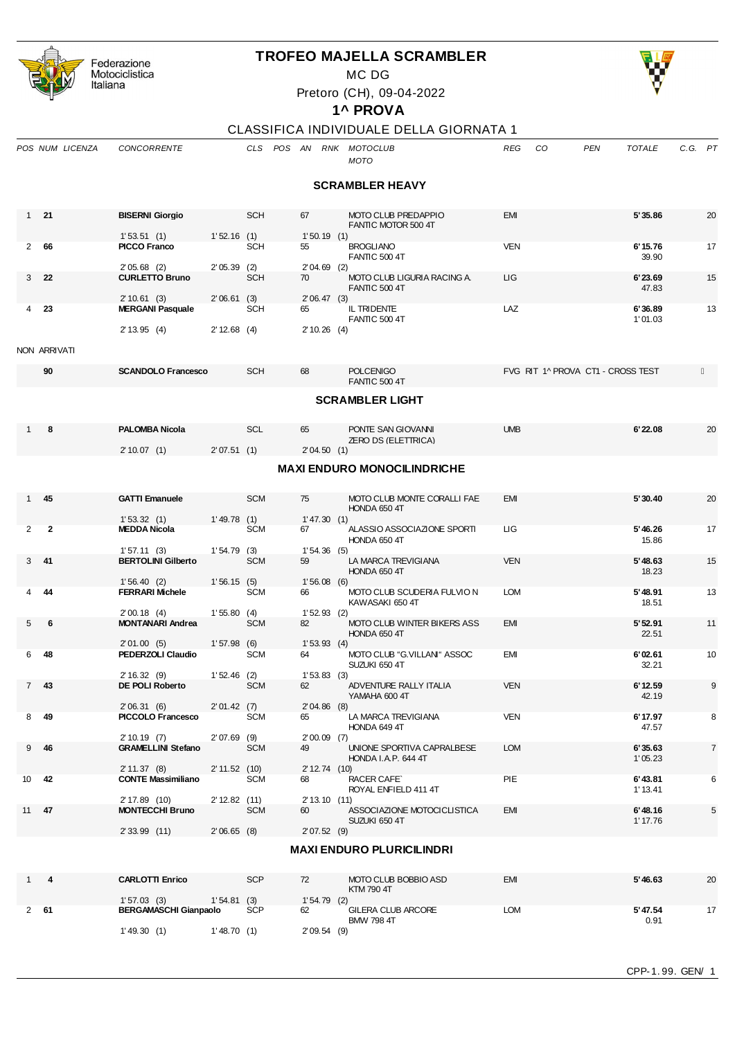| Federazione<br>Motociclistica<br>Italiana |                 |                        |                | <b>TROFEO MAJELLA SCRAMBLER</b><br>Pretoro (CH), 09-04-2022<br>1^ PROVA |                                                   |                      |                             |         |
|-------------------------------------------|-----------------|------------------------|----------------|-------------------------------------------------------------------------|---------------------------------------------------|----------------------|-----------------------------|---------|
|                                           |                 |                        |                |                                                                         | CLASSIFICA INDIVIDUALE DELLA GIORNATA 1           |                      |                             |         |
|                                           | POS NUM LICENZA | <b>CONCORRENTE</b>     | <b>CLS</b>     | POS<br>AN<br>RNK                                                        | <b>MOTOCLUB</b><br><b>MOTO</b>                    | <sub>CO</sub><br>REG | <b>TOTALE</b><br><b>PEN</b> | C.G. PT |
|                                           |                 |                        |                |                                                                         | <b>SCRAMBLER HEAVY</b>                            |                      |                             |         |
| 21<br>1                                   |                 | <b>BISERNI Giorgio</b> | <b>SCH</b>     | 67                                                                      | <b>MOTO CLUB PREDAPPIO</b><br>FANTIC MOTOR 500 4T | <b>EMI</b>           | 5'35.86                     | 20      |
|                                           |                 | 1'53.51(1)             | 1'52.16<br>(1) | 1'50.19(1)                                                              |                                                   |                      |                             |         |
| 66<br>$\mathcal{P}$                       |                 | <b>PICCO Franco</b>    | <b>SCH</b>     | 55                                                                      | <b>BROGLIANO</b><br><b>FANTIC 500 4T</b>          | <b>VEN</b>           | 6'15.76<br>39.90            | 17      |
|                                           |                 | $2'05.68$ (2)          | 2'05.39<br>(2) | $2'04.69$ (2)                                                           |                                                   |                      |                             |         |
| 3                                         | 22              | <b>CURLETTO Bruno</b>  | <b>SCH</b>     | 70                                                                      | MOTO CLUB LIGURIA RACING A.                       | <b>LIG</b>           | 6'23.69                     | 15      |

2' 33.99 (11) 2' 06.65 (8)

2' 10.61 (3) 2' 06.61 (3) 2' 06.47 (3)<br>**MERGANI Pasquale** SCH 65 IL TRIDENTE

2' 13.95 (4) 2' 12.68 (4) 2' 10.26 (4)

|    | NON ARRIVATI |                                           |                          |            |                      |                                                    |                                   |                     |                |
|----|--------------|-------------------------------------------|--------------------------|------------|----------------------|----------------------------------------------------|-----------------------------------|---------------------|----------------|
|    | 90           | <b>SCANDOLO Francesco</b>                 |                          | <b>SCH</b> | 68                   | <b>POLCENIGO</b><br><b>FANTIC 500 4T</b>           | FVG RIT 1^ PROVA CT1 - CROSS TEST |                     |                |
|    |              |                                           |                          |            |                      | <b>SCRAMBLER LIGHT</b>                             |                                   |                     |                |
|    | $1 \quad 8$  | <b>PALOMBA Nicola</b>                     |                          | <b>SCL</b> | 65                   | PONTE SAN GIOVANNI<br><b>ZERO DS (ELETTRICA)</b>   | <b>UMB</b>                        | 6'22.08             | 20             |
|    |              | 2'10.07(1)                                | 2'07.51(1)               |            | 2'04.50(1)           | <b>MAXI ENDURO MONOCILINDRICHE</b>                 |                                   |                     |                |
|    | $1$ 45       | <b>GATTI Emanuele</b>                     |                          | <b>SCM</b> | 75                   | MOTO CLUB MONTE CORALLI FAE<br>HONDA 650 4T        | EMI                               | 5'30.40             | 20             |
|    | $2 \quad 2$  | 1'53.32(1)<br><b>MEDDA Nicola</b>         | 1'49.78(1)               | <b>SCM</b> | 1'47.30(1)<br>67 — 1 | ALASSIO ASSOCIAZIONE SPORTI<br>HONDA 650 4T        | LIG.                              | 5'46.26<br>15.86    | 17             |
|    | $3$ 41       | 1'57.11(3)<br><b>BERTOLINI Gilberto</b>   | 1'54.79(3)               | <b>SCM</b> | 1'54.36(5)<br>59     | LA MARCA TREVIGIANA<br>HONDA 650 4T                | <b>VEN</b>                        | 5'48.63<br>18.23    | 15             |
| 4  | - 44         | 1'56.40(2)<br><b>FERRARI Michele</b>      | 1'56.15(5)               | <b>SCM</b> | 1'56.08(6)<br>66     | MOTO CLUB SCUDERIA FULVIO N<br>KAWASAKI 650 4T     | <b>LOM</b>                        | 5' 48.91<br>18.51   | 13             |
|    | 56           | 2'00.18(4)<br><b>MONTANARI Andrea</b>     | 1'55.80(4)<br>1'57.98(6) | <b>SCM</b> | $1'52.93$ (2)<br>82  | MOTO CLUB WINTER BIKERS ASS<br><b>HONDA 650 4T</b> | <b>EMI</b>                        | 5'52.91<br>22.51    | 11             |
| 6  | -48          | 2'01.00(5)<br><b>PEDERZOLI Claudio</b>    |                          | <b>SCM</b> | 1'53.93(4)<br>64     | MOTO CLUB "G.VILLANI" ASSOC<br>SUZUKI 650 4T       | <b>EMI</b>                        | 6'02.61<br>32.21    | 10             |
|    | 743          | 2'16.32(9)<br>DE POLI Roberto             | $1'52.46$ (2)            | <b>SCM</b> | 1'53.83(3)<br>62     | ADVENTURE RALLY ITALIA<br>YAMAHA 600 4T            | <b>VEN</b>                        | 6'12.59<br>42.19    | 9              |
| 8  | - 49         | 2'06.31(6)<br>PICCOLO Francesco           | 2'01.42(7)               | <b>SCM</b> | $2'04.86$ (8)<br>65  | LA MARCA TREVIGIANA<br>HONDA 649 4T                | <b>VEN</b>                        | 6'17.97<br>47.57    | 8              |
|    | $9$ 46       | 2'10.19(7)<br><b>GRAMELLINI Stefano</b>   | $2'07.69$ (9)            | <b>SCM</b> | $2'00.09$ (7)<br>49  | UNIONE SPORTIVA CAPRALBESE<br>HONDA I.A.P. 644 4T  | <b>LOM</b>                        | 6'35.63<br>1'05.23  | $\overline{7}$ |
| 10 | 42           | 2' 11.37 (8)<br><b>CONTE Massimiliano</b> | 2' 11.52 (10)            | <b>SCM</b> | 2' 12.74 (10)<br>68  | <b>RACER CAFE</b><br>ROYAL ENFIELD 411 4T          | PIE                               | 6' 43.81<br>1'13.41 | 6              |
|    | 11 47        | 2'17.89(10)<br><b>MONTECCHI Bruno</b>     | $2' 12.82$ (11)          | <b>SCM</b> | 2'13.10(11)<br>60    | ASSOCIAZIONE MOTOCICLISTICA                        | <b>EMI</b>                        | 6'48.16             | 5              |

## **MAXI ENDURO PLURICILINDRI**

SUZUKI 650 4T<br>2' 07.52 (9) 3UZUKI 650 4T

|    | <b>CARLOTTI Enrico</b>       | <b>SCP</b> | 72<br>MOTO CLUB BOBBIO ASD<br>KTM 790 4T             | <b>EMI</b> | 5'46.63<br>20          |
|----|------------------------------|------------|------------------------------------------------------|------------|------------------------|
|    | 1'57.03(3)<br> '54.81        | (3)        | 1'54.79(2)                                           |            |                        |
| 61 | <b>BERGAMASCHI Gianpaolo</b> | <b>SCP</b> | <b>GILERA CLUB ARCORE</b><br>62<br><b>BMW 798 4T</b> | LOM        | 5' 47.54<br>17<br>0.91 |
|    | $1'$ 49.30 $(1)$<br>' 48.70  |            | 2'09.54(9)                                           |            |                        |



## **1^ PROVA**

## LE DELLA GIORNATA 1

3 **22 CURLETTO Bruno** SCH 70 MOTO CLUB LIGURIA RACING A. LIG **6'23.69** 15 FANTIC 500 4T<br>2' 06.47 (3)

4 **23 MERGANI Pasquale** SCH 65 IL TRIDENTE LAZ **6'36.89** 13 FANTIC 500 4T